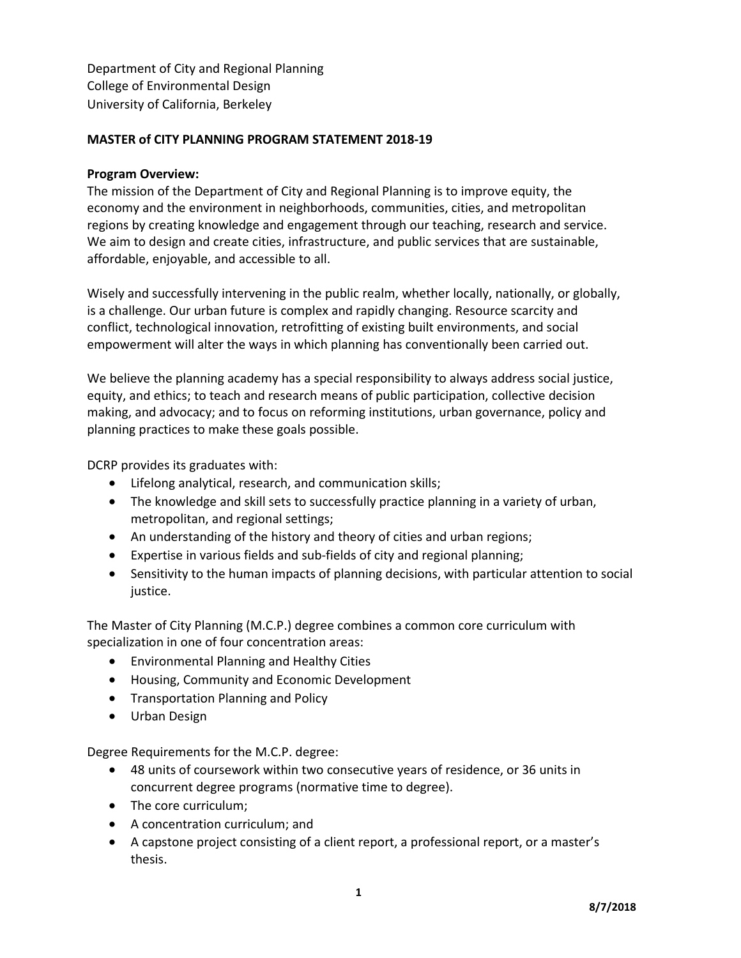Department of City and Regional Planning College of Environmental Design University of California, Berkeley

## **MASTER of CITY PLANNING PROGRAM STATEMENT 2018-19**

#### **Program Overview:**

The mission of the Department of City and Regional Planning is to improve equity, the economy and the environment in neighborhoods, communities, cities, and metropolitan regions by creating knowledge and engagement through our teaching, research and service. We aim to design and create cities, infrastructure, and public services that are sustainable, affordable, enjoyable, and accessible to all.

Wisely and successfully intervening in the public realm, whether locally, nationally, or globally, is a challenge. Our urban future is complex and rapidly changing. Resource scarcity and conflict, technological innovation, retrofitting of existing built environments, and social empowerment will alter the ways in which planning has conventionally been carried out.

We believe the planning academy has a special responsibility to always address social justice, equity, and ethics; to teach and research means of public participation, collective decision making, and advocacy; and to focus on reforming institutions, urban governance, policy and planning practices to make these goals possible.

DCRP provides its graduates with:

- Lifelong analytical, research, and communication skills;
- The knowledge and skill sets to successfully practice planning in a variety of urban, metropolitan, and regional settings;
- An understanding of the history and theory of cities and urban regions;
- Expertise in various fields and sub-fields of city and regional planning;
- Sensitivity to the human impacts of planning decisions, with particular attention to social justice.

The Master of City Planning (M.C.P.) degree combines a common core curriculum with specialization in one of four concentration areas:

- Environmental Planning and Healthy Cities
- Housing, Community and Economic Development
- Transportation Planning and Policy
- Urban Design

Degree Requirements for the M.C.P. degree:

- 48 units of coursework within two consecutive years of residence, or 36 units in concurrent degree programs (normative time to degree).
- The core curriculum;
- A concentration curriculum; and
- A capstone project consisting of a client report, a professional report, or a master's thesis.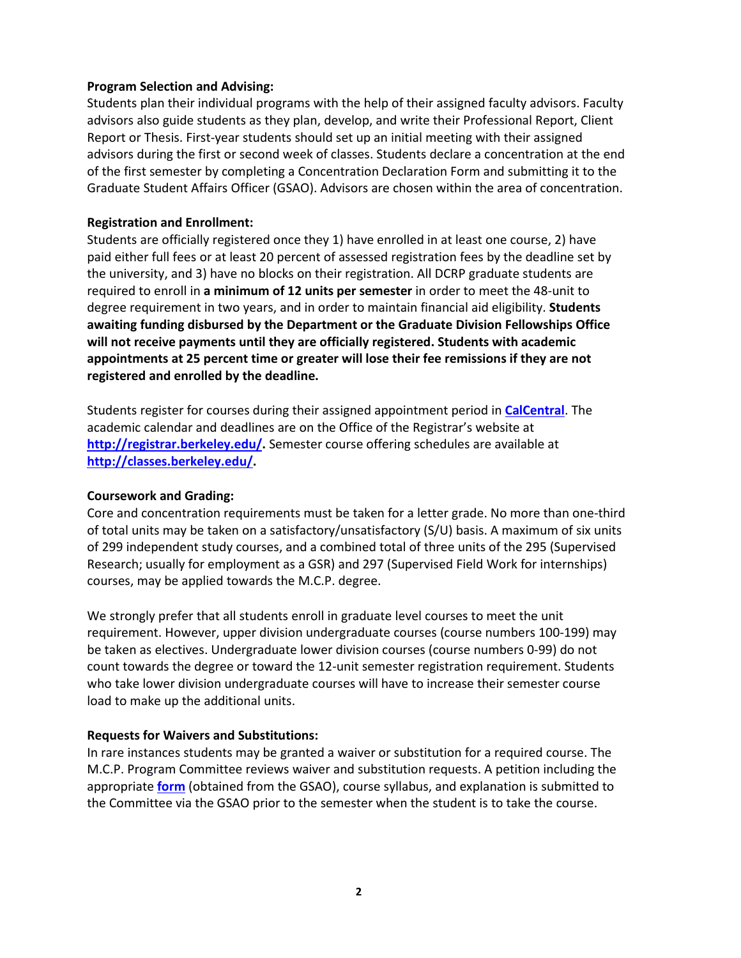### **Program Selection and Advising:**

Students plan their individual programs with the help of their assigned faculty advisors. Faculty advisors also guide students as they plan, develop, and write their Professional Report, Client Report or Thesis. First-year students should set up an initial meeting with their assigned advisors during the first or second week of classes. Students declare a concentration at the end of the first semester by completing a Concentration Declaration Form and submitting it to the Graduate Student Affairs Officer (GSAO). Advisors are chosen within the area of concentration.

### **Registration and Enrollment:**

Students are officially registered once they 1) have enrolled in at least one course, 2) have paid either full fees or at least 20 percent of assessed registration fees by the deadline set by the university, and 3) have no blocks on their registration. All DCRP graduate students are required to enroll in **a minimum of 12 units per semester** in order to meet the 48-unit to degree requirement in two years, and in order to maintain financial aid eligibility. **Students awaiting funding disbursed by the Department or the Graduate Division Fellowships Office will not receive payments until they are officially registered. Students with academic appointments at 25 percent time or greater will lose their fee remissions if they are not registered and enrolled by the deadline.**

Students register for courses during their assigned appointment period in **[CalCentral](https://calcentral.berkeley.edu/)**. The academic calendar and deadlines are on the Office of the Registrar's website at **[http://registrar.berkeley.edu/.](http://registrar.berkeley.edu/)** Semester course offering schedules are available at **[http://classes.berkeley.edu/.](http://classes.berkeley.edu/)**

# **Coursework and Grading:**

Core and concentration requirements must be taken for a letter grade. No more than one-third of total units may be taken on a satisfactory/unsatisfactory (S/U) basis. A maximum of six units of 299 independent study courses, and a combined total of three units of the 295 (Supervised Research; usually for employment as a GSR) and 297 (Supervised Field Work for internships) courses, may be applied towards the M.C.P. degree.

We strongly prefer that all students enroll in graduate level courses to meet the unit requirement. However, upper division undergraduate courses (course numbers 100-199) may be taken as electives. Undergraduate lower division courses (course numbers 0-99) do not count towards the degree or toward the 12-unit semester registration requirement. Students who take lower division undergraduate courses will have to increase their semester course load to make up the additional units.

# **Requests for Waivers and Substitutions:**

In rare instances students may be granted a waiver or substitution for a required course. The M.C.P. Program Committee reviews waiver and substitution requests. A petition including the appropriate **[form](http://ced.berkeley.edu/ced/students/graduate-advising/graduate-forms-documents/)** (obtained from the GSAO), course syllabus, and explanation is submitted to the Committee via the GSAO prior to the semester when the student is to take the course.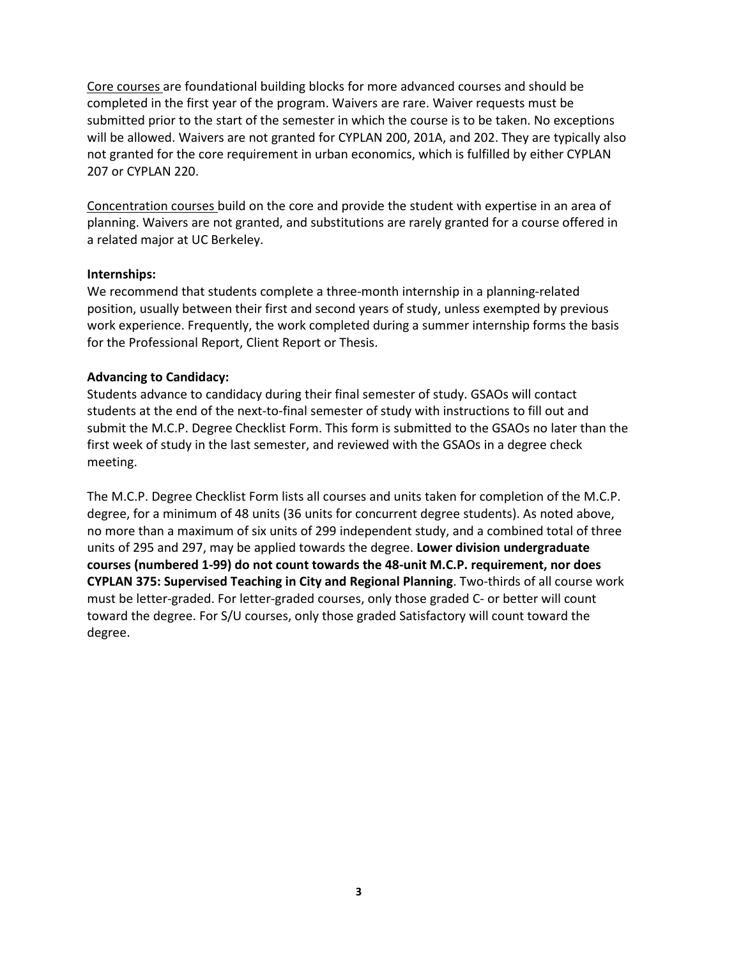Core courses are foundational building blocks for more advanced courses and should be completed in the first year of the program. Waivers are rare. Waiver requests must be submitted prior to the start of the semester in which the course is to be taken. No exceptions will be allowed. Waivers are not granted for CYPLAN 200, 201A, and 202. They are typically also not granted for the core requirement in urban economics, which is fulfilled by either CYPLAN 207 or CYPLAN 220.

Concentration courses build on the core and provide the student with expertise in an area of planning. Waivers are not granted, and substitutions are rarely granted for a course offered in a related major at UC Berkeley.

### **Internships:**

We recommend that students complete a three-month internship in a planning-related position, usually between their first and second years of study, unless exempted by previous work experience. Frequently, the work completed during a summer internship forms the basis for the Professional Report, Client Report or Thesis.

# **Advancing to Candidacy:**

Students advance to candidacy during their final semester of study. GSAOs will contact students at the end of the next-to-final semester of study with instructions to fill out and submit the M.C.P. Degree Checklist Form. This form is submitted to the GSAOs no later than the first week of study in the last semester, and reviewed with the GSAOs in a degree check meeting.

The M.C.P. Degree Checklist Form lists all courses and units taken for completion of the M.C.P. degree, for a minimum of 48 units (36 units for concurrent degree students). As noted above, no more than a maximum of six units of 299 independent study, and a combined total of three units of 295 and 297, may be applied towards the degree. **Lower division undergraduate courses (numbered 1-99) do not count towards the 48-unit M.C.P. requirement, nor does CYPLAN 375: Supervised Teaching in City and Regional Planning**. Two-thirds of all course work must be letter-graded. For letter-graded courses, only those graded C- or better will count toward the degree. For S/U courses, only those graded Satisfactory will count toward the degree.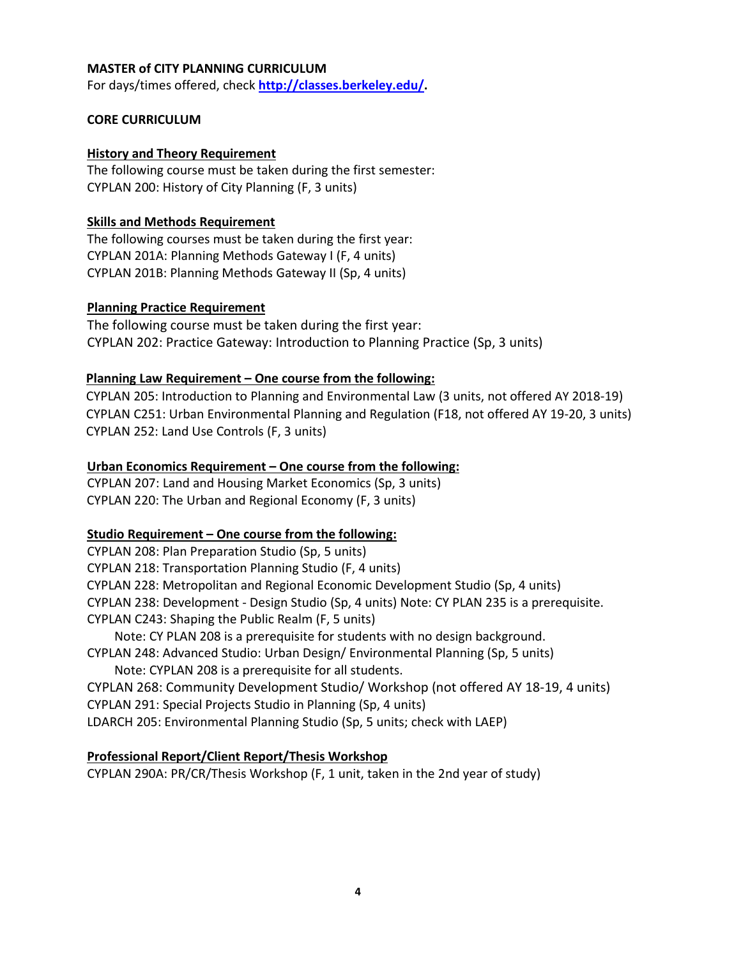### **MASTER of CITY PLANNING CURRICULUM**

For days/times offered, check **[http://classes.berkeley.edu/.](http://classes.berkeley.edu/)**

### **CORE CURRICULUM**

### **History and Theory Requirement**

The following course must be taken during the first semester: CYPLAN 200: History of City Planning (F, 3 units)

## **Skills and Methods Requirement**

The following courses must be taken during the first year: CYPLAN 201A: Planning Methods Gateway I (F, 4 units) CYPLAN 201B: Planning Methods Gateway II (Sp, 4 units)

### **Planning Practice Requirement**

The following course must be taken during the first year: CYPLAN 202: Practice Gateway: Introduction to Planning Practice (Sp, 3 units)

# **Planning Law Requirement – One course from the following:**

 CYPLAN 205: Introduction to Planning and Environmental Law (3 units, not offered AY 2018-19) CYPLAN C251: Urban Environmental Planning and Regulation (F18, not offered AY 19-20, 3 units) CYPLAN 252: Land Use Controls (F, 3 units)

### **Urban Economics Requirement – One course from the following:**

CYPLAN 207: Land and Housing Market Economics (Sp, 3 units) CYPLAN 220: The Urban and Regional Economy (F, 3 units)

#### **Studio Requirement – One course from the following:**

CYPLAN 208: Plan Preparation Studio (Sp, 5 units) CYPLAN 218: Transportation Planning Studio (F, 4 units) CYPLAN 228: Metropolitan and Regional Economic Development Studio (Sp, 4 units) CYPLAN 238: Development - Design Studio (Sp, 4 units) Note: CY PLAN 235 is a prerequisite. CYPLAN C243: Shaping the Public Realm (F, 5 units) Note: CY PLAN 208 is a prerequisite for students with no design background. CYPLAN 248: Advanced Studio: Urban Design/ Environmental Planning (Sp, 5 units) Note: CYPLAN 208 is a prerequisite for all students. CYPLAN 268: Community Development Studio/ Workshop (not offered AY 18-19, 4 units) CYPLAN 291: Special Projects Studio in Planning (Sp, 4 units) LDARCH 205: Environmental Planning Studio (Sp, 5 units; check with LAEP)

# **Professional Report/Client Report/Thesis Workshop**

CYPLAN 290A: PR/CR/Thesis Workshop (F, 1 unit, taken in the 2nd year of study)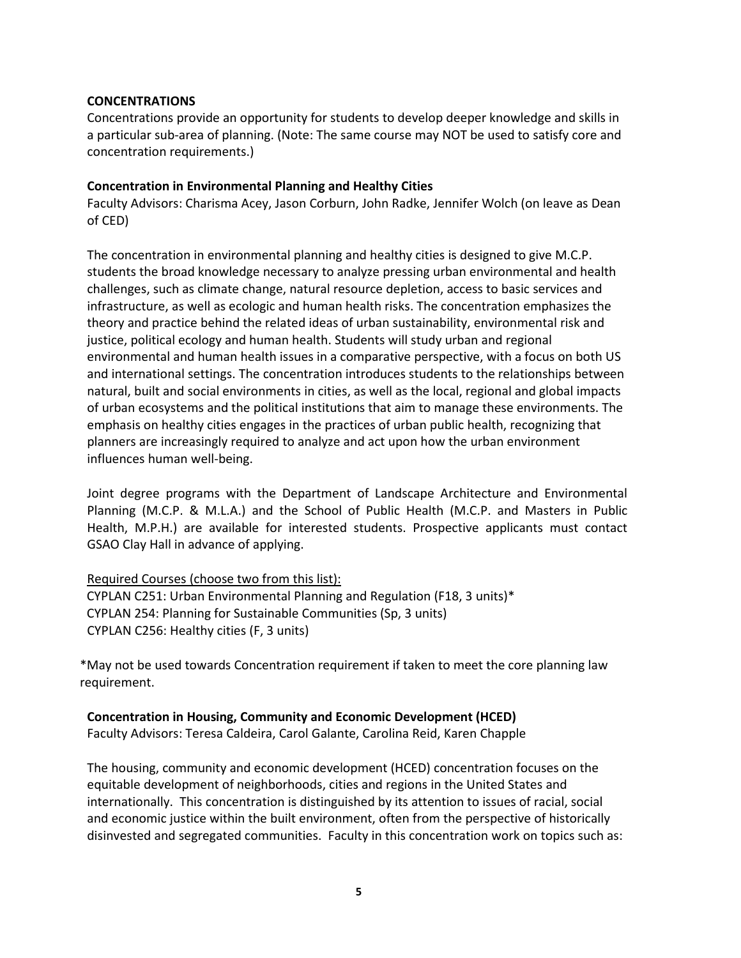### **CONCENTRATIONS**

Concentrations provide an opportunity for students to develop deeper knowledge and skills in a particular sub-area of planning. (Note: The same course may NOT be used to satisfy core and concentration requirements.)

### **Concentration in Environmental Planning and Healthy Cities**

Faculty Advisors: Charisma Acey, Jason Corburn, John Radke, Jennifer Wolch (on leave as Dean of CED)

The concentration in environmental planning and healthy cities is designed to give M.C.P. students the broad knowledge necessary to analyze pressing urban environmental and health challenges, such as climate change, natural resource depletion, access to basic services and infrastructure, as well as ecologic and human health risks. The concentration emphasizes the theory and practice behind the related ideas of urban sustainability, environmental risk and justice, political ecology and human health. Students will study urban and regional environmental and human health issues in a comparative perspective, with a focus on both US and international settings. The concentration introduces students to the relationships between natural, built and social environments in cities, as well as the local, regional and global impacts of urban ecosystems and the political institutions that aim to manage these environments. The emphasis on healthy cities engages in the practices of urban public health, recognizing that planners are increasingly required to analyze and act upon how the urban environment influences human well-being.

Joint degree programs with the Department of Landscape Architecture and Environmental Planning (M.C.P. & M.L.A.) and the School of Public Health (M.C.P. and Masters in Public Health, M.P.H.) are available for interested students. Prospective applicants must contact GSAO Clay Hall in advance of applying.

# Required Courses (choose two from this list):

CYPLAN C251: Urban Environmental Planning and Regulation (F18, 3 units)\* CYPLAN 254: Planning for Sustainable Communities (Sp, 3 units) CYPLAN C256: Healthy cities (F, 3 units)

\*May not be used towards Concentration requirement if taken to meet the core planning law requirement.

#### **Concentration in Housing, Community and Economic Development (HCED)**

Faculty Advisors: Teresa Caldeira, Carol Galante, Carolina Reid, Karen Chapple

The housing, community and economic development (HCED) concentration focuses on the equitable development of neighborhoods, cities and regions in the United States and internationally. This concentration is distinguished by its attention to issues of racial, social and economic justice within the built environment, often from the perspective of historically disinvested and segregated communities. Faculty in this concentration work on topics such as: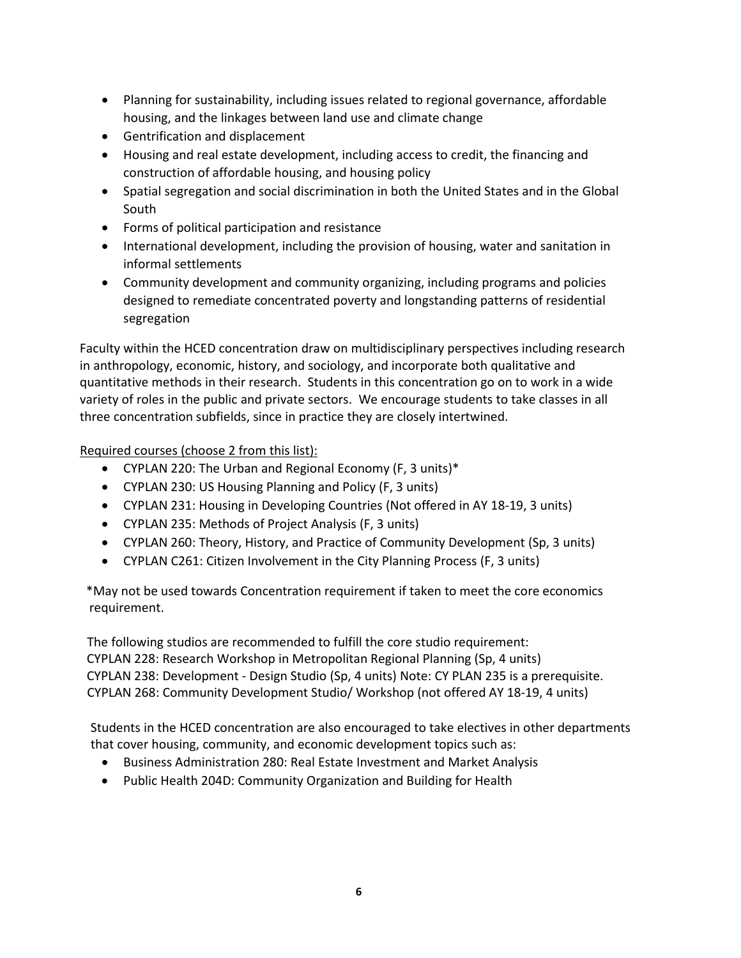- Planning for sustainability, including issues related to regional governance, affordable housing, and the linkages between land use and climate change
- Gentrification and displacement
- Housing and real estate development, including access to credit, the financing and construction of affordable housing, and housing policy
- Spatial segregation and social discrimination in both the United States and in the Global South
- Forms of political participation and resistance
- International development, including the provision of housing, water and sanitation in informal settlements
- Community development and community organizing, including programs and policies designed to remediate concentrated poverty and longstanding patterns of residential segregation

Faculty within the HCED concentration draw on multidisciplinary perspectives including research in anthropology, economic, history, and sociology, and incorporate both qualitative and quantitative methods in their research. Students in this concentration go on to work in a wide variety of roles in the public and private sectors. We encourage students to take classes in all three concentration subfields, since in practice they are closely intertwined.

Required courses (choose 2 from this list):

- CYPLAN 220: The Urban and Regional Economy (F, 3 units)\*
- CYPLAN 230: US Housing Planning and Policy (F, 3 units)
- CYPLAN 231: Housing in Developing Countries (Not offered in AY 18-19, 3 units)
- CYPLAN 235: Methods of Project Analysis (F, 3 units)
- CYPLAN 260: Theory, History, and Practice of Community Development (Sp, 3 units)
- CYPLAN C261: Citizen Involvement in the City Planning Process (F, 3 units)

 \*May not be used towards Concentration requirement if taken to meet the core economics requirement.

The following studios are recommended to fulfill the core studio requirement: CYPLAN 228: Research Workshop in Metropolitan Regional Planning (Sp, 4 units) CYPLAN 238: Development - Design Studio (Sp, 4 units) Note: CY PLAN 235 is a prerequisite. CYPLAN 268: Community Development Studio/ Workshop (not offered AY 18-19, 4 units)

Students in the HCED concentration are also encouraged to take electives in other departments that cover housing, community, and economic development topics such as:

- Business Administration 280: Real Estate Investment and Market Analysis
- Public Health 204D: Community Organization and Building for Health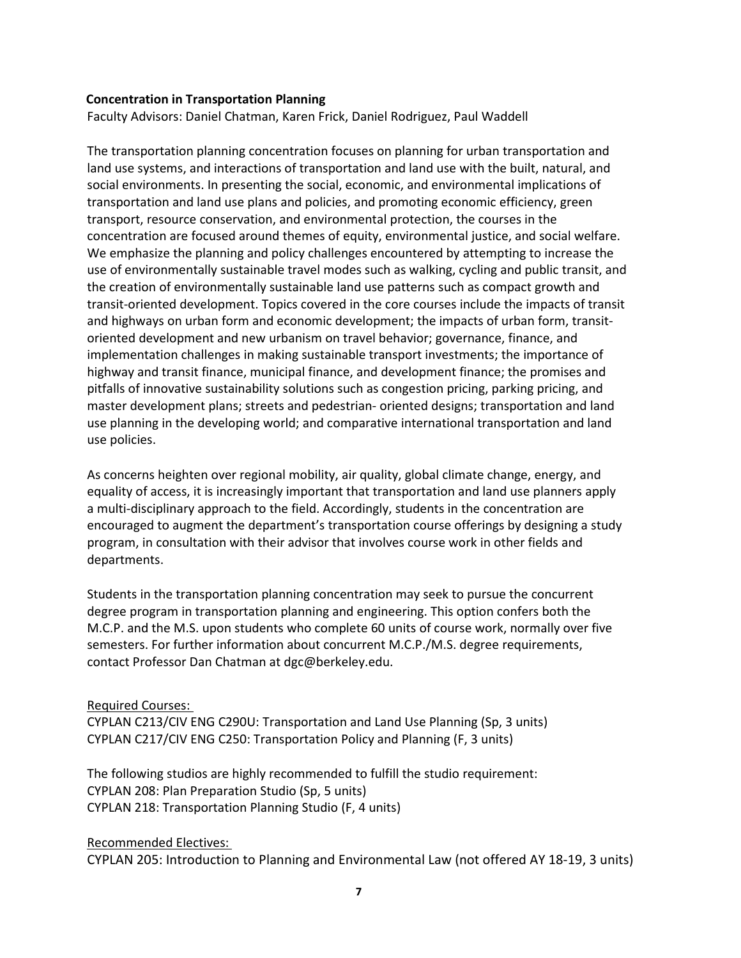#### **Concentration in Transportation Planning**

Faculty Advisors: Daniel Chatman, Karen Frick, Daniel Rodriguez, Paul Waddell

The transportation planning concentration focuses on planning for urban transportation and land use systems, and interactions of transportation and land use with the built, natural, and social environments. In presenting the social, economic, and environmental implications of transportation and land use plans and policies, and promoting economic efficiency, green transport, resource conservation, and environmental protection, the courses in the concentration are focused around themes of equity, environmental justice, and social welfare. We emphasize the planning and policy challenges encountered by attempting to increase the use of environmentally sustainable travel modes such as walking, cycling and public transit, and the creation of environmentally sustainable land use patterns such as compact growth and transit-oriented development. Topics covered in the core courses include the impacts of transit and highways on urban form and economic development; the impacts of urban form, transitoriented development and new urbanism on travel behavior; governance, finance, and implementation challenges in making sustainable transport investments; the importance of highway and transit finance, municipal finance, and development finance; the promises and pitfalls of innovative sustainability solutions such as congestion pricing, parking pricing, and master development plans; streets and pedestrian- oriented designs; transportation and land use planning in the developing world; and comparative international transportation and land use policies.

As concerns heighten over regional mobility, air quality, global climate change, energy, and equality of access, it is increasingly important that transportation and land use planners apply a multi-disciplinary approach to the field. Accordingly, students in the concentration are encouraged to augment the department's transportation course offerings by designing a study program, in consultation with their advisor that involves course work in other fields and departments.

Students in the transportation planning concentration may seek to pursue the concurrent degree program in transportation planning and engineering. This option confers both the M.C.P. and the M.S. upon students who complete 60 units of course work, normally over five semesters. For further information about concurrent M.C.P./M.S. degree requirements, contact Professor Dan Chatman a[t dgc@berkeley.edu.](mailto:dgc@berkeley.edu)

#### Required Courses:

CYPLAN C213/CIV ENG C290U: Transportation and Land Use Planning (Sp, 3 units) CYPLAN C217/CIV ENG C250: Transportation Policy and Planning (F, 3 units)

The following studios are highly recommended to fulfill the studio requirement: CYPLAN 208: Plan Preparation Studio (Sp, 5 units) CYPLAN 218: Transportation Planning Studio (F, 4 units)

#### Recommended Electives:

CYPLAN 205: Introduction to Planning and Environmental Law (not offered AY 18-19, 3 units)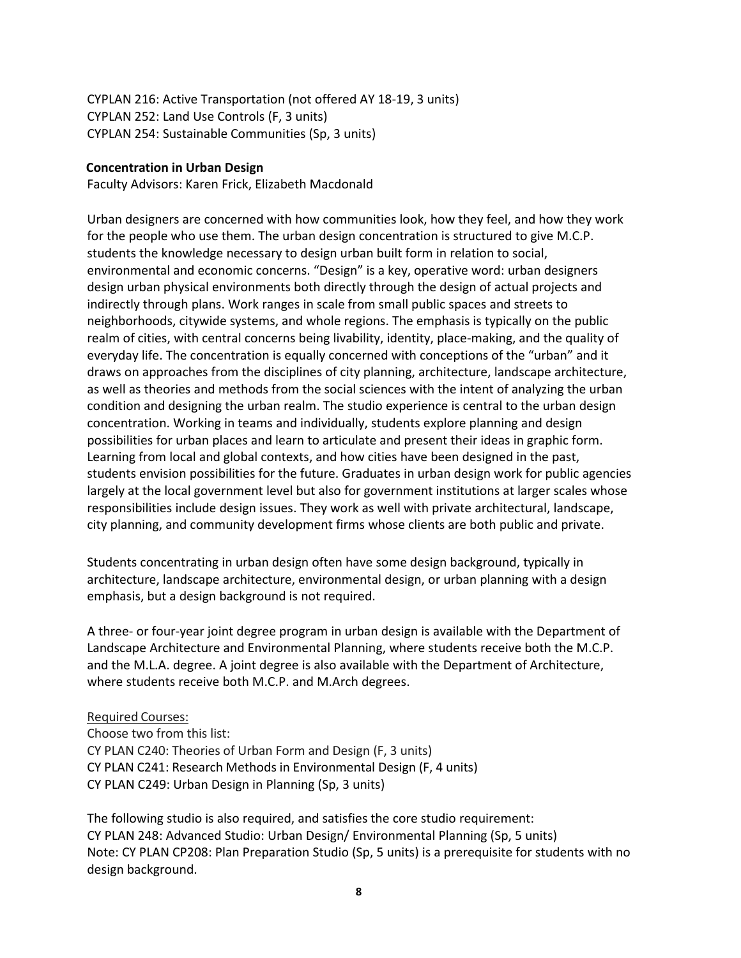CYPLAN 216: Active Transportation (not offered AY 18-19, 3 units) CYPLAN 252: Land Use Controls (F, 3 units) CYPLAN 254: Sustainable Communities (Sp, 3 units)

#### **Concentration in Urban Design**

Faculty Advisors: Karen Frick, Elizabeth Macdonald

Urban designers are concerned with how communities look, how they feel, and how they work for the people who use them. The urban design concentration is structured to give M.C.P. students the knowledge necessary to design urban built form in relation to social, environmental and economic concerns. "Design" is a key, operative word: urban designers design urban physical environments both directly through the design of actual projects and indirectly through plans. Work ranges in scale from small public spaces and streets to neighborhoods, citywide systems, and whole regions. The emphasis is typically on the public realm of cities, with central concerns being livability, identity, place-making, and the quality of everyday life. The concentration is equally concerned with conceptions of the "urban" and it draws on approaches from the disciplines of city planning, architecture, landscape architecture, as well as theories and methods from the social sciences with the intent of analyzing the urban condition and designing the urban realm. The studio experience is central to the urban design concentration. Working in teams and individually, students explore planning and design possibilities for urban places and learn to articulate and present their ideas in graphic form. Learning from local and global contexts, and how cities have been designed in the past, students envision possibilities for the future. Graduates in urban design work for public agencies largely at the local government level but also for government institutions at larger scales whose responsibilities include design issues. They work as well with private architectural, landscape, city planning, and community development firms whose clients are both public and private.

Students concentrating in urban design often have some design background, typically in architecture, landscape architecture, environmental design, or urban planning with a design emphasis, but a design background is not required.

A three- or four-year joint degree program in urban design is available with the Department of Landscape Architecture and Environmental Planning, where students receive both the M.C.P. and the M.L.A. degree. A joint degree is also available with the Department of Architecture, where students receive both M.C.P. and M.Arch degrees.

# Required Courses:

Choose two from this list: CY PLAN C240: Theories of Urban Form and Design (F, 3 units) CY PLAN C241: Research Methods in Environmental Design (F, 4 units) CY PLAN C249: Urban Design in Planning (Sp, 3 units)

The following studio is also required, and satisfies the core studio requirement: CY PLAN 248: Advanced Studio: Urban Design/ Environmental Planning (Sp, 5 units) Note: CY PLAN CP208: Plan Preparation Studio (Sp, 5 units) is a prerequisite for students with no design background.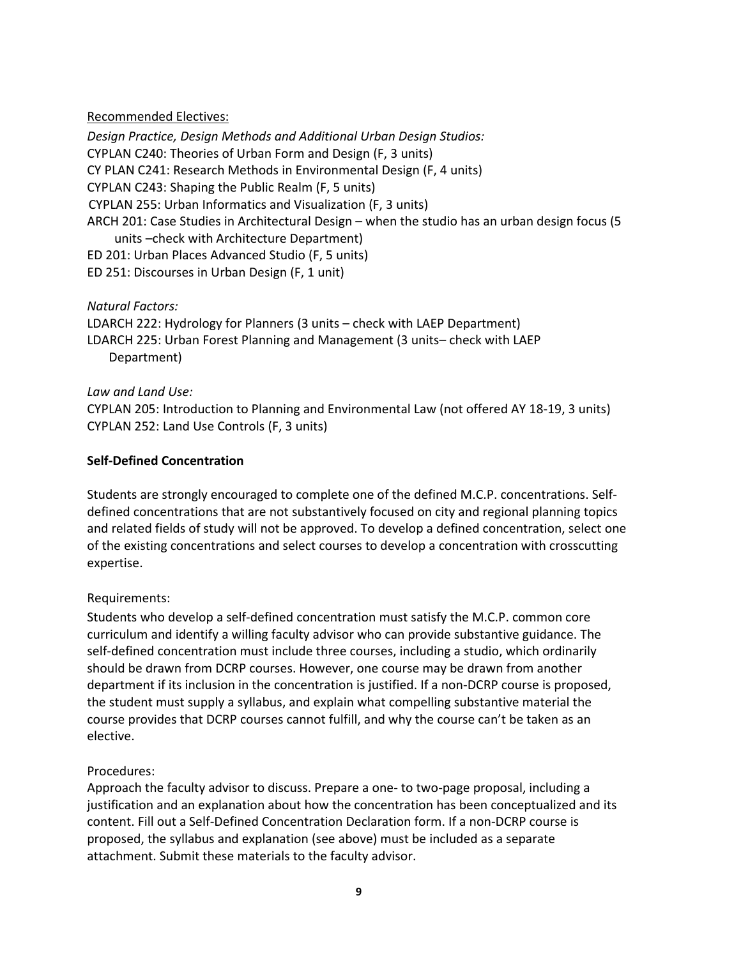### Recommended Electives:

*Design Practice, Design Methods and Additional Urban Design Studios:*  CYPLAN C240: Theories of Urban Form and Design (F, 3 units) CY PLAN C241: Research Methods in Environmental Design (F, 4 units) CYPLAN C243: Shaping the Public Realm (F, 5 units) CYPLAN 255: Urban Informatics and Visualization (F, 3 units) ARCH 201: Case Studies in Architectural Design – when the studio has an urban design focus (5 units –check with Architecture Department) ED 201: Urban Places Advanced Studio (F, 5 units) ED 251: Discourses in Urban Design (F, 1 unit)

*Natural Factors:*

LDARCH 222: Hydrology for Planners (3 units – check with LAEP Department) LDARCH 225: Urban Forest Planning and Management (3 units– check with LAEP Department)

*Law and Land Use:*

CYPLAN 205: Introduction to Planning and Environmental Law (not offered AY 18-19, 3 units) CYPLAN 252: Land Use Controls (F, 3 units)

# **Self-Defined Concentration**

Students are strongly encouraged to complete one of the defined M.C.P. concentrations. Selfdefined concentrations that are not substantively focused on city and regional planning topics and related fields of study will not be approved. To develop a defined concentration, select one of the existing concentrations and select courses to develop a concentration with crosscutting expertise.

# Requirements:

Students who develop a self-defined concentration must satisfy the M.C.P. common core curriculum and identify a willing faculty advisor who can provide substantive guidance. The self-defined concentration must include three courses, including a studio, which ordinarily should be drawn from DCRP courses. However, one course may be drawn from another department if its inclusion in the concentration is justified. If a non-DCRP course is proposed, the student must supply a syllabus, and explain what compelling substantive material the course provides that DCRP courses cannot fulfill, and why the course can't be taken as an elective.

# Procedures:

Approach the faculty advisor to discuss. Prepare a one- to two-page proposal, including a justification and an explanation about how the concentration has been conceptualized and its content. Fill out a Self-Defined Concentration Declaration form. If a non-DCRP course is proposed, the syllabus and explanation (see above) must be included as a separate attachment. Submit these materials to the faculty advisor.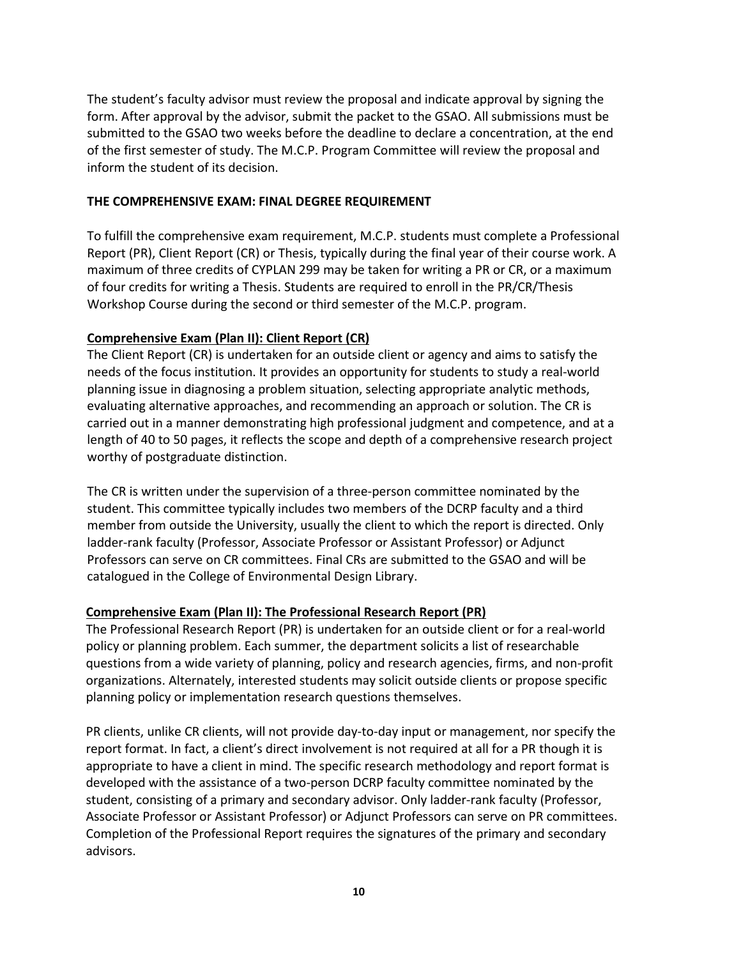The student's faculty advisor must review the proposal and indicate approval by signing the form. After approval by the advisor, submit the packet to the GSAO. All submissions must be submitted to the GSAO two weeks before the deadline to declare a concentration, at the end of the first semester of study. The M.C.P. Program Committee will review the proposal and inform the student of its decision.

#### **THE COMPREHENSIVE EXAM: FINAL DEGREE REQUIREMENT**

To fulfill the comprehensive exam requirement, M.C.P. students must complete a Professional Report (PR), Client Report (CR) or Thesis, typically during the final year of their course work. A maximum of three credits of CYPLAN 299 may be taken for writing a PR or CR, or a maximum of four credits for writing a Thesis. Students are required to enroll in the PR/CR/Thesis Workshop Course during the second or third semester of the M.C.P. program.

#### **Comprehensive Exam (Plan II): Client Report (CR)**

The Client Report (CR) is undertaken for an outside client or agency and aims to satisfy the needs of the focus institution. It provides an opportunity for students to study a real-world planning issue in diagnosing a problem situation, selecting appropriate analytic methods, evaluating alternative approaches, and recommending an approach or solution. The CR is carried out in a manner demonstrating high professional judgment and competence, and at a length of 40 to 50 pages, it reflects the scope and depth of a comprehensive research project worthy of postgraduate distinction.

The CR is written under the supervision of a three-person committee nominated by the student. This committee typically includes two members of the DCRP faculty and a third member from outside the University, usually the client to which the report is directed. Only ladder-rank faculty (Professor, Associate Professor or Assistant Professor) or Adjunct Professors can serve on CR committees. Final CRs are submitted to the GSAO and will be catalogued in the College of Environmental Design Library.

#### **Comprehensive Exam (Plan II): The Professional Research Report (PR)**

The Professional Research Report (PR) is undertaken for an outside client or for a real-world policy or planning problem. Each summer, the department solicits a list of researchable questions from a wide variety of planning, policy and research agencies, firms, and non-profit organizations. Alternately, interested students may solicit outside clients or propose specific planning policy or implementation research questions themselves.

PR clients, unlike CR clients, will not provide day-to-day input or management, nor specify the report format. In fact, a client's direct involvement is not required at all for a PR though it is appropriate to have a client in mind. The specific research methodology and report format is developed with the assistance of a two-person DCRP faculty committee nominated by the student, consisting of a primary and secondary advisor. Only ladder-rank faculty (Professor, Associate Professor or Assistant Professor) or Adjunct Professors can serve on PR committees. Completion of the Professional Report requires the signatures of the primary and secondary advisors.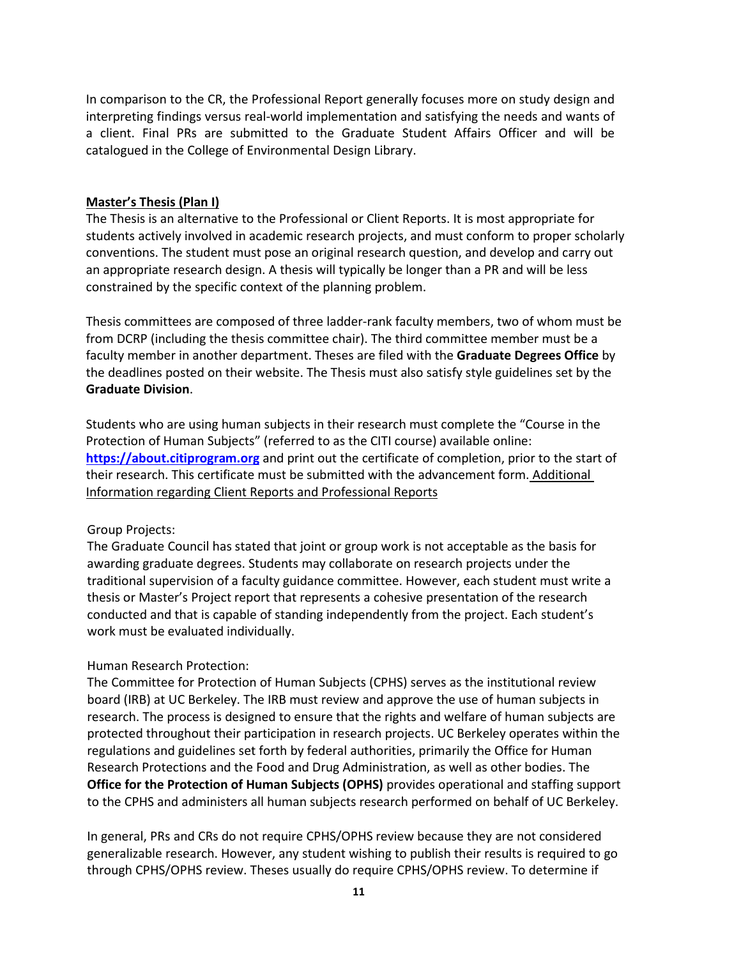In comparison to the CR, the Professional Report generally focuses more on study design and interpreting findings versus real-world implementation and satisfying the needs and wants of a client. Final PRs are submitted to the Graduate Student Affairs Officer and will be catalogued in the College of Environmental Design Library.

#### **Master's Thesis (Plan I)**

The Thesis is an alternative to the Professional or Client Reports. It is most appropriate for students actively involved in academic research projects, and must conform to proper scholarly conventions. The student must pose an original research question, and develop and carry out an appropriate research design. A thesis will typically be longer than a PR and will be less constrained by the specific context of the planning problem.

Thesis committees are composed of three ladder-rank faculty members, two of whom must be from DCRP (including the thesis committee chair). The third committee member must be a faculty member in another department. Theses are filed with the **[Graduate Degrees](http://www.grad.berkeley.edu/policies/degree_filing_deadlines.shtml) [Office](http://www.grad.berkeley.edu/policies/degree_filing_deadlines.shtml)** by the deadlines posted on their website. The Thesis must also satisfy style guidelines set by the **[Graduate Division](http://www.grad.berkeley.edu/policies/pdf/disguide.pdf)**.

Students who are using human subjects in their research must complete the "Course in the Protection of Human Subjects" (referred to as the CITI course) available online: **[https://about.citiprogram.org](https://about.citiprogram.org/)** and print out the certificate of completion, prior to the start of their research. This certificate must be submitted with the advancement form. Additional Information regarding Client Reports and Professional Reports

#### Group Projects:

The Graduate Council has stated that joint or group work is not acceptable as the basis for awarding graduate degrees. Students may collaborate on research projects under the traditional supervision of a faculty guidance committee. However, each student must write a thesis or Master's Project report that represents a cohesive presentation of the research conducted and that is capable of standing independently from the project. Each student's work must be evaluated individually.

# Human Research Protection:

The Committee for Protection of Human Subjects (CPHS) serves as the institutional review board (IRB) at UC Berkeley. The IRB must review and approve the use of human subjects in research. The process is designed to ensure that the rights and welfare of human subjects are protected throughout their participation in research projects. UC Berkeley operates within the regulations and guidelines set forth by federal authorities, primarily the Office for Human Research Protections and the Food and Drug Administration, as well as other bodies. The **[Office for the Protection of Human Subjects \(OPHS\)](http://cphs.berkeley.edu/)** provides operational and staffing support to the CPHS and administers all human subjects research performed on behalf of UC Berkeley.

In general, PRs and CRs do not require CPHS/OPHS review because they are not considered generalizable research. However, any student wishing to publish their results is required to go through CPHS/OPHS review. Theses usually do require CPHS/OPHS review. To determine if